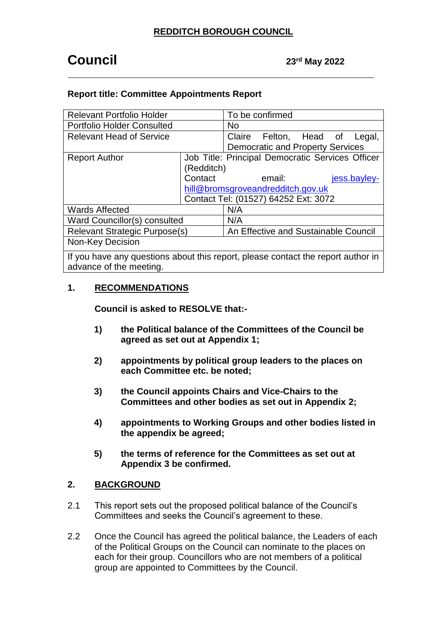# **Council** 23<sup>rd</sup> May 2022

# **Report title: Committee Appointments Report**

| <b>Relevant Portfolio Holder</b>     |                                      | To be confirmed                                  |                        |  |              |        |
|--------------------------------------|--------------------------------------|--------------------------------------------------|------------------------|--|--------------|--------|
| <b>Portfolio Holder Consulted</b>    |                                      | No.                                              |                        |  |              |        |
| <b>Relevant Head of Service</b>      |                                      |                                                  | Claire Felton, Head of |  |              | Legal, |
|                                      |                                      | <b>Democratic and Property Services</b>          |                        |  |              |        |
| <b>Report Author</b>                 |                                      | Job Title: Principal Democratic Services Officer |                        |  |              |        |
|                                      | (Redditch)                           |                                                  |                        |  |              |        |
|                                      | Contact                              |                                                  | email:                 |  | jess.bayley- |        |
|                                      | hill@bromsgroveandredditch.gov.uk    |                                                  |                        |  |              |        |
|                                      | Contact Tel: (01527) 64252 Ext: 3072 |                                                  |                        |  |              |        |
| <b>Wards Affected</b>                |                                      | N/A                                              |                        |  |              |        |
| Ward Councillor(s) consulted         |                                      | N/A                                              |                        |  |              |        |
| <b>Relevant Strategic Purpose(s)</b> |                                      | An Effective and Sustainable Council             |                        |  |              |        |
| Non-Key Decision                     |                                      |                                                  |                        |  |              |        |
|                                      |                                      |                                                  |                        |  |              |        |

If you have any questions about this report, please contact the report author in advance of the meeting.

# **1. RECOMMENDATIONS**

**Council is asked to RESOLVE that:-**

- **1) the Political balance of the Committees of the Council be agreed as set out at Appendix 1;**
- **2) appointments by political group leaders to the places on each Committee etc. be noted;**
- **3) the Council appoints Chairs and Vice-Chairs to the Committees and other bodies as set out in Appendix 2;**
- **4) appointments to Working Groups and other bodies listed in the appendix be agreed;**
- **5) the terms of reference for the Committees as set out at Appendix 3 be confirmed.**

# **2. BACKGROUND**

- 2.1 This report sets out the proposed political balance of the Council's Committees and seeks the Council's agreement to these.
- 2.2 Once the Council has agreed the political balance, the Leaders of each of the Political Groups on the Council can nominate to the places on each for their group. Councillors who are not members of a political group are appointed to Committees by the Council.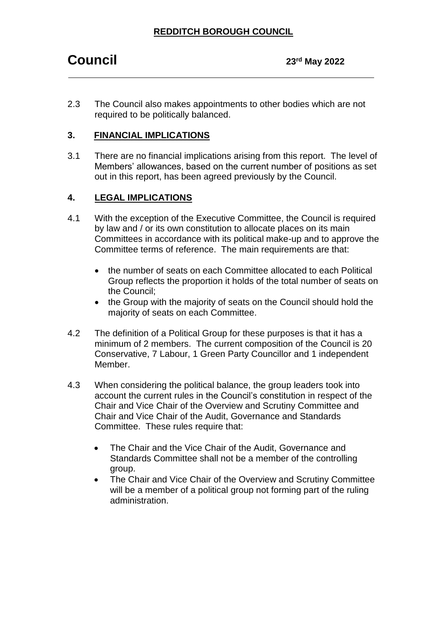# **REDDITCH BOROUGH COUNCIL**

2.3 The Council also makes appointments to other bodies which are not required to be politically balanced.

# **3. FINANCIAL IMPLICATIONS**

3.1 There are no financial implications arising from this report. The level of Members' allowances, based on the current number of positions as set out in this report, has been agreed previously by the Council.

# **4. LEGAL IMPLICATIONS**

- 4.1 With the exception of the Executive Committee, the Council is required by law and / or its own constitution to allocate places on its main Committees in accordance with its political make-up and to approve the Committee terms of reference. The main requirements are that:
	- the number of seats on each Committee allocated to each Political Group reflects the proportion it holds of the total number of seats on the Council;
	- the Group with the majority of seats on the Council should hold the majority of seats on each Committee.
- 4.2 The definition of a Political Group for these purposes is that it has a minimum of 2 members. The current composition of the Council is 20 Conservative, 7 Labour, 1 Green Party Councillor and 1 independent Member.
- 4.3 When considering the political balance, the group leaders took into account the current rules in the Council's constitution in respect of the Chair and Vice Chair of the Overview and Scrutiny Committee and Chair and Vice Chair of the Audit, Governance and Standards Committee. These rules require that:
	- The Chair and the Vice Chair of the Audit, Governance and Standards Committee shall not be a member of the controlling group.
	- The Chair and Vice Chair of the Overview and Scrutiny Committee will be a member of a political group not forming part of the ruling administration.